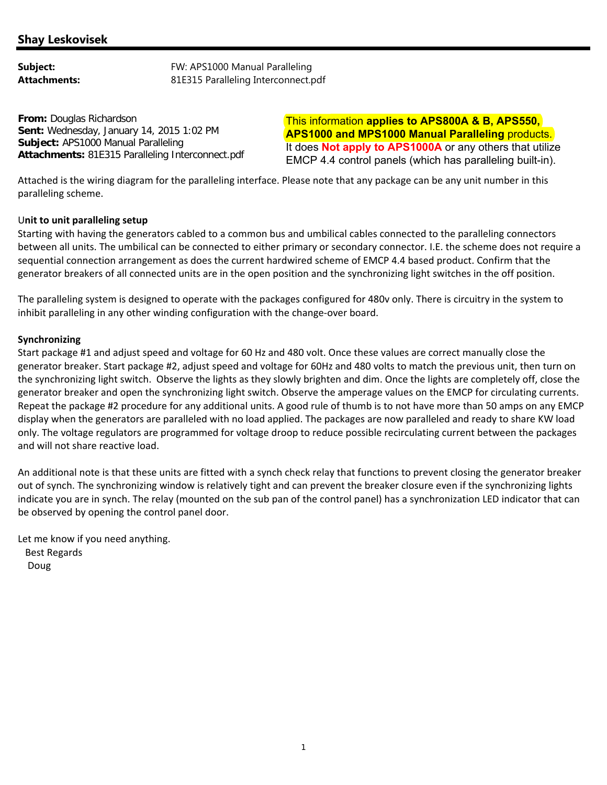**From:** Douglas Richardson **Sent:** Wednesday, January 14, 2015 1:02 PM **Subject:** APS1000 Manual Paralleling **Attachments:** 81E315 Paralleling Interconnect.pdf

This information **applies to APS800A & B, APS550, APS1000 and MPS1000 Manual Paralleling** products. It does **Not apply to APS1000A** or any others that utilize EMCP 4.4 control panels (which has paralleling built-in).

Attached is the wiring diagram for the paralleling interface. Please note that any package can be any unit number in this paralleling scheme.

## U**nit to unit paralleling setup**

Starting with having the generators cabled to a common bus and umbilical cables connected to the paralleling connectors between all units. The umbilical can be connected to either primary or secondary connector. I.E. the scheme does not require a sequential connection arrangement as does the current hardwired scheme of EMCP 4.4 based product. Confirm that the generator breakers of all connected units are in the open position and the synchronizing light switches in the off position.

The paralleling system is designed to operate with the packages configured for 480v only. There is circuitry in the system to inhibit paralleling in any other winding configuration with the change‐over board.

## **Synchronizing**

Start package #1 and adjust speed and voltage for 60 Hz and 480 volt. Once these values are correct manually close the generator breaker. Start package #2, adjust speed and voltage for 60Hz and 480 volts to match the previous unit, then turn on the synchronizing light switch. Observe the lights as they slowly brighten and dim. Once the lights are completely off, close the generator breaker and open the synchronizing light switch. Observe the amperage values on the EMCP for circulating currents. Repeat the package #2 procedure for any additional units. A good rule of thumb is to not have more than 50 amps on any EMCP display when the generators are paralleled with no load applied. The packages are now paralleled and ready to share KW load only. The voltage regulators are programmed for voltage droop to reduce possible recirculating current between the packages and will not share reactive load.

An additional note is that these units are fitted with a synch check relay that functions to prevent closing the generator breaker out of synch. The synchronizing window is relatively tight and can prevent the breaker closure even if the synchronizing lights indicate you are in synch. The relay (mounted on the sub pan of the control panel) has a synchronization LED indicator that can be observed by opening the control panel door.

Let me know if you need anything.

 Best Regards Doug